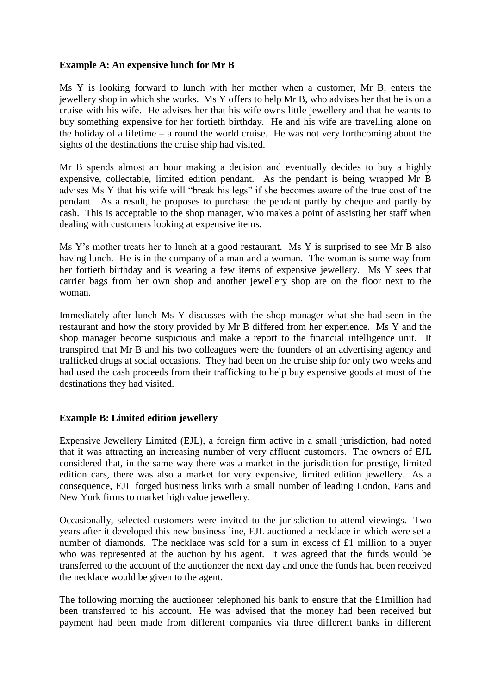## **Example A: An expensive lunch for Mr B**

Ms Y is looking forward to lunch with her mother when a customer, Mr B, enters the jewellery shop in which she works. Ms Y offers to help Mr B, who advises her that he is on a cruise with his wife. He advises her that his wife owns little jewellery and that he wants to buy something expensive for her fortieth birthday. He and his wife are travelling alone on the holiday of a lifetime – a round the world cruise. He was not very forthcoming about the sights of the destinations the cruise ship had visited.

Mr B spends almost an hour making a decision and eventually decides to buy a highly expensive, collectable, limited edition pendant. As the pendant is being wrapped Mr B advises Ms Y that his wife will "break his legs" if she becomes aware of the true cost of the pendant. As a result, he proposes to purchase the pendant partly by cheque and partly by cash. This is acceptable to the shop manager, who makes a point of assisting her staff when dealing with customers looking at expensive items.

Ms Y's mother treats her to lunch at a good restaurant. Ms Y is surprised to see Mr B also having lunch. He is in the company of a man and a woman. The woman is some way from her fortieth birthday and is wearing a few items of expensive jewellery. Ms Y sees that carrier bags from her own shop and another jewellery shop are on the floor next to the woman.

Immediately after lunch Ms Y discusses with the shop manager what she had seen in the restaurant and how the story provided by Mr B differed from her experience. Ms Y and the shop manager become suspicious and make a report to the financial intelligence unit. It transpired that Mr B and his two colleagues were the founders of an advertising agency and trafficked drugs at social occasions. They had been on the cruise ship for only two weeks and had used the cash proceeds from their trafficking to help buy expensive goods at most of the destinations they had visited.

## **Example B: Limited edition jewellery**

Expensive Jewellery Limited (EJL), a foreign firm active in a small jurisdiction, had noted that it was attracting an increasing number of very affluent customers. The owners of EJL considered that, in the same way there was a market in the jurisdiction for prestige, limited edition cars, there was also a market for very expensive, limited edition jewellery. As a consequence, EJL forged business links with a small number of leading London, Paris and New York firms to market high value jewellery.

Occasionally, selected customers were invited to the jurisdiction to attend viewings. Two years after it developed this new business line, EJL auctioned a necklace in which were set a number of diamonds. The necklace was sold for a sum in excess of £1 million to a buyer who was represented at the auction by his agent. It was agreed that the funds would be transferred to the account of the auctioneer the next day and once the funds had been received the necklace would be given to the agent.

The following morning the auctioneer telephoned his bank to ensure that the £1million had been transferred to his account. He was advised that the money had been received but payment had been made from different companies via three different banks in different